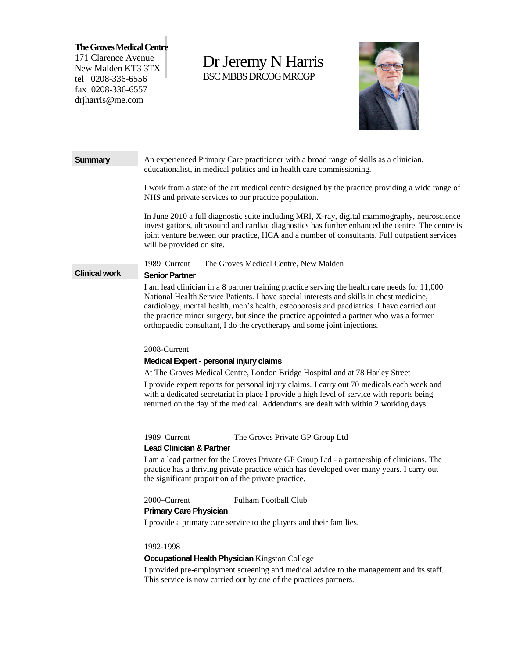**The Groves Medical Centre**

171 Clarence Avenue New Malden KT3 3TX tel 0208-336-6556 fax 0208-336-6557 drjharris@me.com

# Dr Jeremy N Harris BSC MBBS DRCOG MRCGP



**Summary** An experienced Primary Care practitioner with a broad range of skills as a clinician, educationalist, in medical politics and in health care commissioning.

> I work from a state of the art medical centre designed by the practice providing a wide range of NHS and private services to our practice population.

> In June 2010 a full diagnostic suite including MRI, X-ray, digital mammography, neuroscience investigations, ultrasound and cardiac diagnostics has further enhanced the centre. The centre is joint venture between our practice, HCA and a number of consultants. Full outpatient services will be provided on site.

1989–Current The Groves Medical Centre, New Malden

#### **Clinical work Senior Partner**

I am lead clinician in a 8 partner training practice serving the health care needs for 11,000 National Health Service Patients. I have special interests and skills in chest medicine, cardiology, mental health, men's health, osteoporosis and paediatrics. I have carried out the practice minor surgery, but since the practice appointed a partner who was a former orthopaedic consultant, I do the cryotherapy and some joint injections.

#### 2008-Current

### **Medical Expert - personal injury claims**

At The Groves Medical Centre, London Bridge Hospital and at 78 Harley Street

I provide expert reports for personal injury claims. I carry out 70 medicals each week and with a dedicated secretariat in place I provide a high level of service with reports being returned on the day of the medical. Addendums are dealt with within 2 working days.

1989–Current The Groves Private GP Group Ltd

#### **Lead Clinician & Partner**

I am a lead partner for the Groves Private GP Group Ltd - a partnership of clinicians. The practice has a thriving private practice which has developed over many years. I carry out the significant proportion of the private practice.

### 2000–Current Fulham Football Club

#### **Primary Care Physician**

I provide a primary care service to the players and their families.

#### 1992-1998

#### **Occupational Health Physician** Kingston College

I provided pre-employment screening and medical advice to the management and its staff. This service is now carried out by one of the practices partners.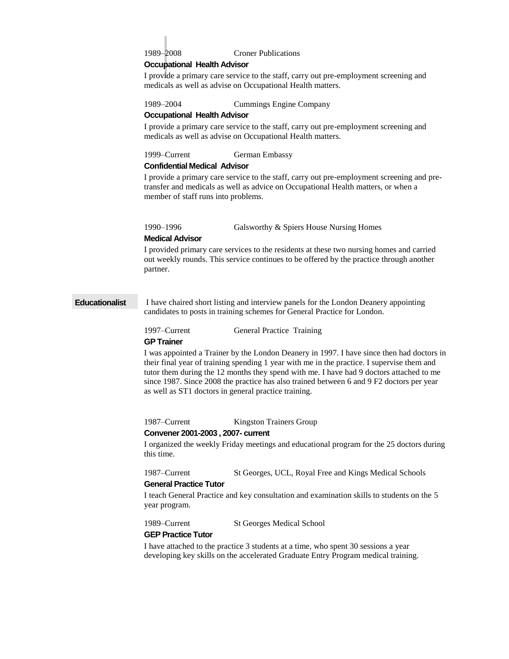1989–2008 Croner Publications

## **Occupational Health Advisor**

I provide a primary care service to the staff, carry out pre-employment screening and medicals as well as advise on Occupational Health matters.

1989–2004 Cummings Engine Company

#### **Occupational Health Advisor**

I provide a primary care service to the staff, carry out pre-employment screening and medicals as well as advise on Occupational Health matters.

1999–Current German Embassy

#### **Confidential Medical Advisor**

I provide a primary care service to the staff, carry out pre-employment screening and pretransfer and medicals as well as advice on Occupational Health matters, or when a member of staff runs into problems.

1990–1996 Galsworthy & Spiers House Nursing Homes

#### **Medical Advisor**

I provided primary care services to the residents at these two nursing homes and carried out weekly rounds. This service continues to be offered by the practice through another partner.

**Educationalist** I have chaired short listing and interview panels for the London Deanery appointing candidates to posts in training schemes for General Practice for London.

1997–Current General Practice Training

#### **GP Trainer**

I was appointed a Trainer by the London Deanery in 1997. I have since then had doctors in their final year of training spending 1 year with me in the practice. I supervise them and tutor them during the 12 months they spend with me. I have had 9 doctors attached to me since 1987. Since 2008 the practice has also trained between 6 and 9 F2 doctors per year as well as ST1 doctors in general practice training.

1987–Current Kingston Trainers Group

#### **Convener 2001-2003 , 2007- current**

I organized the weekly Friday meetings and educational program for the 25 doctors during this time.

1987–Current St Georges, UCL, Royal Free and Kings Medical Schools

#### **General Practice Tutor**

I teach General Practice and key consultation and examination skills to students on the 5 year program.

1989–Current St Georges Medical School

#### **GEP Practice Tutor**

I have attached to the practice 3 students at a time, who spent 30 sessions a year developing key skills on the accelerated Graduate Entry Program medical training.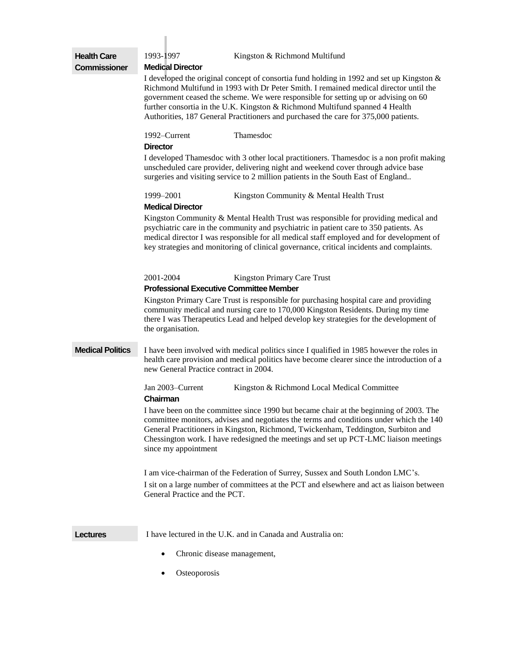| <b>Health Care</b>      | 1993-1997<br>Kingston & Richmond Multifund                                                                                                                                                                                                                                                                                                                                                                                                     |  |  |
|-------------------------|------------------------------------------------------------------------------------------------------------------------------------------------------------------------------------------------------------------------------------------------------------------------------------------------------------------------------------------------------------------------------------------------------------------------------------------------|--|--|
| <b>Commissioner</b>     | <b>Medical Director</b>                                                                                                                                                                                                                                                                                                                                                                                                                        |  |  |
|                         | I developed the original concept of consortia fund holding in 1992 and set up Kingston &<br>Richmond Multifund in 1993 with Dr Peter Smith. I remained medical director until the<br>government ceased the scheme. We were responsible for setting up or advising on 60<br>further consortia in the U.K. Kingston & Richmond Multifund spanned 4 Health<br>Authorities, 187 General Practitioners and purchased the care for 375,000 patients. |  |  |
|                         | 1992–Current<br>Thamesdoc<br><b>Director</b>                                                                                                                                                                                                                                                                                                                                                                                                   |  |  |
|                         | I developed Thamesdoc with 3 other local practitioners. Thamesdoc is a non profit making<br>unscheduled care provider, delivering night and weekend cover through advice base<br>surgeries and visiting service to 2 million patients in the South East of England                                                                                                                                                                             |  |  |
|                         | 1999-2001<br>Kingston Community & Mental Health Trust                                                                                                                                                                                                                                                                                                                                                                                          |  |  |
|                         | <b>Medical Director</b><br>Kingston Community & Mental Health Trust was responsible for providing medical and<br>psychiatric care in the community and psychiatric in patient care to 350 patients. As<br>medical director I was responsible for all medical staff employed and for development of<br>key strategies and monitoring of clinical governance, critical incidents and complaints.                                                 |  |  |
|                         | 2001-2004<br>Kingston Primary Care Trust                                                                                                                                                                                                                                                                                                                                                                                                       |  |  |
|                         | <b>Professional Executive Committee Member</b>                                                                                                                                                                                                                                                                                                                                                                                                 |  |  |
|                         | Kingston Primary Care Trust is responsible for purchasing hospital care and providing<br>community medical and nursing care to 170,000 Kingston Residents. During my time<br>there I was Therapeutics Lead and helped develop key strategies for the development of<br>the organisation.                                                                                                                                                       |  |  |
| <b>Medical Politics</b> | I have been involved with medical politics since I qualified in 1985 however the roles in<br>health care provision and medical politics have become clearer since the introduction of a<br>new General Practice contract in 2004.                                                                                                                                                                                                              |  |  |
|                         | Jan 2003-Current<br>Kingston & Richmond Local Medical Committee<br>Chairman                                                                                                                                                                                                                                                                                                                                                                    |  |  |
|                         | I have been on the committee since 1990 but became chair at the beginning of 2003. The<br>committee monitors, advises and negotiates the terms and conditions under which the 140<br>General Practitioners in Kingston, Richmond, Twickenham, Teddington, Surbiton and<br>Chessington work. I have redesigned the meetings and set up PCT-LMC liaison meetings<br>since my appointment                                                         |  |  |
|                         | I am vice-chairman of the Federation of Surrey, Sussex and South London LMC's.                                                                                                                                                                                                                                                                                                                                                                 |  |  |
|                         | I sit on a large number of committees at the PCT and elsewhere and act as liaison between<br>General Practice and the PCT.                                                                                                                                                                                                                                                                                                                     |  |  |
| <b>Lectures</b>         | I have lectured in the U.K. and in Canada and Australia on:                                                                                                                                                                                                                                                                                                                                                                                    |  |  |
|                         | Chronic disease management,<br>٠                                                                                                                                                                                                                                                                                                                                                                                                               |  |  |
|                         | Osteoporosis                                                                                                                                                                                                                                                                                                                                                                                                                                   |  |  |